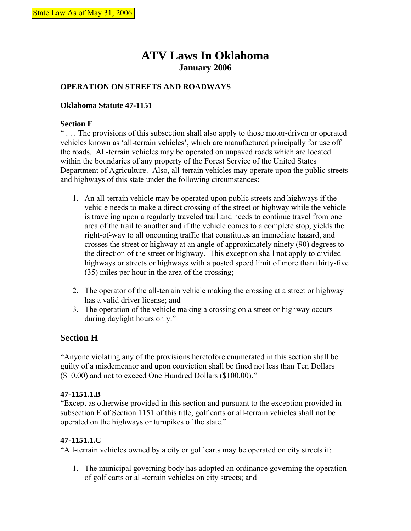# **ATV Laws In Oklahoma January 2006**

## **OPERATION ON STREETS AND ROADWAYS**

### **Oklahoma Statute 47-1151**

#### **Section E**

" . . . The provisions of this subsection shall also apply to those motor-driven or operated vehicles known as 'all-terrain vehicles', which are manufactured principally for use off the roads. All-terrain vehicles may be operated on unpaved roads which are located within the boundaries of any property of the Forest Service of the United States Department of Agriculture. Also, all-terrain vehicles may operate upon the public streets and highways of this state under the following circumstances:

- 1. An all-terrain vehicle may be operated upon public streets and highways if the vehicle needs to make a direct crossing of the street or highway while the vehicle is traveling upon a regularly traveled trail and needs to continue travel from one area of the trail to another and if the vehicle comes to a complete stop, yields the right-of-way to all oncoming traffic that constitutes an immediate hazard, and crosses the street or highway at an angle of approximately ninety (90) degrees to the direction of the street or highway. This exception shall not apply to divided highways or streets or highways with a posted speed limit of more than thirty-five (35) miles per hour in the area of the crossing;
- 2. The operator of the all-terrain vehicle making the crossing at a street or highway has a valid driver license; and
- 3. The operation of the vehicle making a crossing on a street or highway occurs during daylight hours only."

# **Section H**

"Anyone violating any of the provisions heretofore enumerated in this section shall be guilty of a misdemeanor and upon conviction shall be fined not less than Ten Dollars (\$10.00) and not to exceed One Hundred Dollars (\$100.00)."

#### **47-1151.1.B**

"Except as otherwise provided in this section and pursuant to the exception provided in subsection E of Section 1151 of this title, golf carts or all-terrain vehicles shall not be operated on the highways or turnpikes of the state."

## **47-1151.1.C**

"All-terrain vehicles owned by a city or golf carts may be operated on city streets if:

1. The municipal governing body has adopted an ordinance governing the operation of golf carts or all-terrain vehicles on city streets; and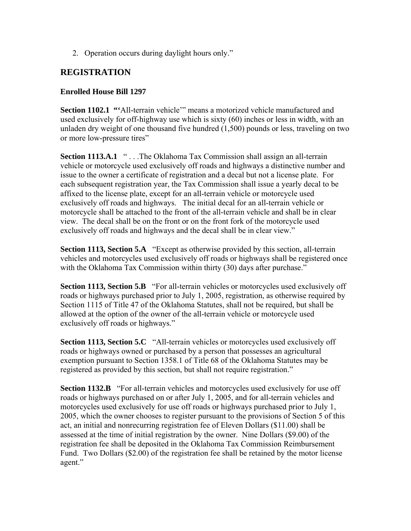2. Operation occurs during daylight hours only."

# **REGISTRATION**

## **Enrolled House Bill 1297**

**Section 1102.1 "**All-terrain vehicle" means a motorized vehicle manufactured and used exclusively for off-highway use which is sixty (60) inches or less in width, with an unladen dry weight of one thousand five hundred (1,500) pounds or less, traveling on two or more low-pressure tires"

**Section 1113.A.1** " . . .The Oklahoma Tax Commission shall assign an all-terrain vehicle or motorcycle used exclusively off roads and highways a distinctive number and issue to the owner a certificate of registration and a decal but not a license plate. For each subsequent registration year, the Tax Commission shall issue a yearly decal to be affixed to the license plate, except for an all-terrain vehicle or motorcycle used exclusively off roads and highways. The initial decal for an all-terrain vehicle or motorcycle shall be attached to the front of the all-terrain vehicle and shall be in clear view. The decal shall be on the front or on the front fork of the motorcycle used exclusively off roads and highways and the decal shall be in clear view."

**Section 1113, Section 5.A** "Except as otherwise provided by this section, all-terrain vehicles and motorcycles used exclusively off roads or highways shall be registered once with the Oklahoma Tax Commission within thirty (30) days after purchase."

**Section 1113, Section 5.B** "For all-terrain vehicles or motorcycles used exclusively off roads or highways purchased prior to July 1, 2005, registration, as otherwise required by Section 1115 of Title 47 of the Oklahoma Statutes, shall not be required, but shall be allowed at the option of the owner of the all-terrain vehicle or motorcycle used exclusively off roads or highways."

**Section 1113, Section 5.C** "All-terrain vehicles or motorcycles used exclusively off roads or highways owned or purchased by a person that possesses an agricultural exemption pursuant to Section 1358.1 of Title 68 of the Oklahoma Statutes may be registered as provided by this section, but shall not require registration."

**Section 1132.B** "For all-terrain vehicles and motorcycles used exclusively for use off roads or highways purchased on or after July 1, 2005, and for all-terrain vehicles and motorcycles used exclusively for use off roads or highways purchased prior to July 1, 2005, which the owner chooses to register pursuant to the provisions of Section 5 of this act, an initial and nonrecurring registration fee of Eleven Dollars (\$11.00) shall be assessed at the time of initial registration by the owner. Nine Dollars (\$9.00) of the registration fee shall be deposited in the Oklahoma Tax Commission Reimbursement Fund. Two Dollars (\$2.00) of the registration fee shall be retained by the motor license agent."